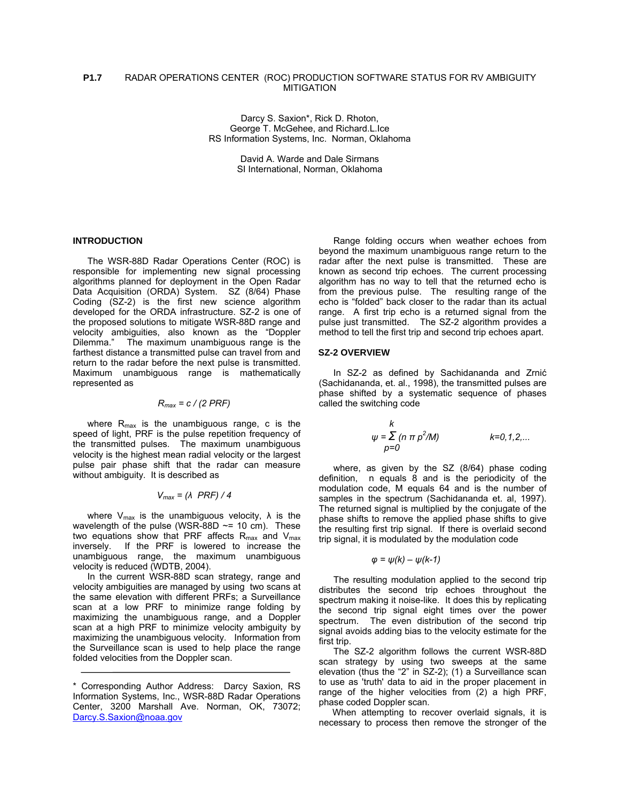## **P1.7** RADAR OPERATIONS CENTER (ROC) PRODUCTION SOFTWARE STATUS FOR RV AMBIGUITY MITIGATION

Darcy S. Saxion\*, Rick D. Rhoton, George T. McGehee, and Richard.L.Ice RS Information Systems, Inc. Norman, Oklahoma

> David A. Warde and Dale Sirmans SI International, Norman, Oklahoma

### **INTRODUCTION**

The WSR-88D Radar Operations Center (ROC) is responsible for implementing new signal processing algorithms planned for deployment in the Open Radar Data Acquisition (ORDA) System. SZ (8/64) Phase Coding (SZ-2) is the first new science algorithm developed for the ORDA infrastructure. SZ-2 is one of the proposed solutions to mitigate WSR-88D range and velocity ambiguities, also known as the "Doppler The maximum unambiguous range is the farthest distance a transmitted pulse can travel from and return to the radar before the next pulse is transmitted. Maximum unambiguous range is mathematically represented as

#### *Rmax = c / (2 PRF)*

where  $R_{\text{max}}$  is the unambiguous range, c is the speed of light, PRF is the pulse repetition frequency of the transmitted pulses. The maximum unambiguous velocity is the highest mean radial velocity or the largest pulse pair phase shift that the radar can measure without ambiguity. It is described as

$$
V_{max} = (\lambda \, PRF) / 4
$$

where  $V_{\text{max}}$  is the unambiguous velocity,  $\lambda$  is the wavelength of the pulse (WSR-88D  $\sim$ = 10 cm). These two equations show that PRF affects  $R_{\text{max}}$  and  $V_{\text{max}}$ inversely. If the PRF is lowered to increase the unambiguous range, the maximum unambiguous velocity is reduced (WDTB, 2004).

In the current WSR-88D scan strategy, range and velocity ambiguities are managed by using two scans at the same elevation with different PRFs; a Surveillance scan at a low PRF to minimize range folding by maximizing the unambiguous range, and a Doppler scan at a high PRF to minimize velocity ambiguity by maximizing the unambiguous velocity. Information from the Surveillance scan is used to help place the range folded velocities from the Doppler scan.

Range folding occurs when weather echoes from beyond the maximum unambiguous range return to the radar after the next pulse is transmitted. These are known as second trip echoes. The current processing algorithm has no way to tell that the returned echo is from the previous pulse. The resulting range of the echo is "folded" back closer to the radar than its actual range. A first trip echo is a returned signal from the pulse just transmitted. The SZ-2 algorithm provides a method to tell the first trip and second trip echoes apart.

#### **SZ-2 OVERVIEW**

In SZ-2 as defined by Sachidananda and Zrnić (Sachidananda, et. al., 1998), the transmitted pulses are phase shifted by a systematic sequence of phases called the switching code

$$
\begin{array}{ll}\n & k \\
\psi = \sum (n \pi p^2 / M) & k = 0, 1, 2, \dots \\
 & p = 0\n\end{array}
$$

where, as given by the SZ (8/64) phase coding definition, n equals 8 and is the periodicity of the modulation code, M equals 64 and is the number of samples in the spectrum (Sachidananda et. al, 1997). The returned signal is multiplied by the conjugate of the phase shifts to remove the applied phase shifts to give the resulting first trip signal. If there is overlaid second trip signal, it is modulated by the modulation code

$$
\varphi = \psi(k) - \psi(k-1)
$$

The resulting modulation applied to the second trip distributes the second trip echoes throughout the spectrum making it noise-like. It does this by replicating the second trip signal eight times over the power spectrum. The even distribution of the second trip signal avoids adding bias to the velocity estimate for the first trip.

The SZ-2 algorithm follows the current WSR-88D scan strategy by using two sweeps at the same elevation (thus the "2" in SZ-2); (1) a Surveillance scan to use as 'truth' data to aid in the proper placement in range of the higher velocities from (2) a high PRF, phase coded Doppler scan.

When attempting to recover overlaid signals, it is necessary to process then remove the stronger of the

<sup>\*</sup> Corresponding Author Address: Darcy Saxion, RS Information Systems, Inc., WSR-88D Radar Operations Center, 3200 Marshall Ave. Norman, OK, 73072; [Darcy.S.Saxion@noaa.gov](mailto:Darcy.S.Saxion@noaa.gov)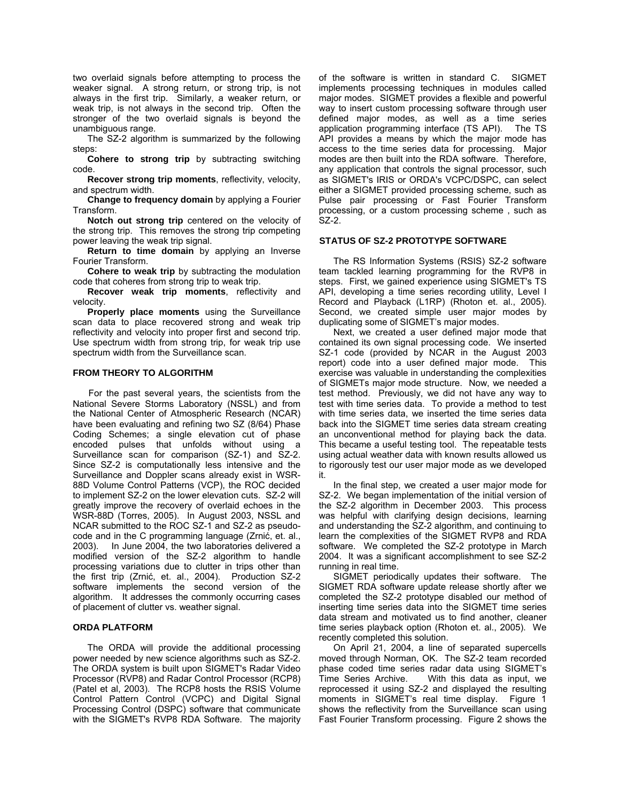two overlaid signals before attempting to process the weaker signal. A strong return, or strong trip, is not always in the first trip. Similarly, a weaker return, or weak trip, is not always in the second trip. Often the stronger of the two overlaid signals is beyond the unambiguous range.

The SZ-2 algorithm is summarized by the following steps:

**Cohere to strong trip** by subtracting switching code.

**Recover strong trip moments**, reflectivity, velocity, and spectrum width.

**Change to frequency domain** by applying a Fourier Transform.

**Notch out strong trip** centered on the velocity of the strong trip. This removes the strong trip competing power leaving the weak trip signal.

**Return to time domain** by applying an Inverse Fourier Transform.

**Cohere to weak trip** by subtracting the modulation code that coheres from strong trip to weak trip.

**Recover weak trip moments**, reflectivity and velocity.

**Properly place moments** using the Surveillance scan data to place recovered strong and weak trip reflectivity and velocity into proper first and second trip. Use spectrum width from strong trip, for weak trip use spectrum width from the Surveillance scan.

# **FROM THEORY TO ALGORITHM**

For the past several years, the scientists from the National Severe Storms Laboratory (NSSL) and from the National Center of Atmospheric Research (NCAR) have been evaluating and refining two SZ (8/64) Phase Coding Schemes; a single elevation cut of phase encoded pulses that unfolds without using a Surveillance scan for comparison (SZ-1) and SZ-2. Since SZ-2 is computationally less intensive and the Surveillance and Doppler scans already exist in WSR-88D Volume Control Patterns (VCP), the ROC decided to implement SZ-2 on the lower elevation cuts. SZ-2 will greatly improve the recovery of overlaid echoes in the WSR-88D (Torres, 2005). In August 2003, NSSL and NCAR submitted to the ROC SZ-1 and SZ-2 as pseudocode and in the C programming language (Zrnić, et. al., 2003). In June 2004, the two laboratories delivered a modified version of the SZ-2 algorithm to handle processing variations due to clutter in trips other than the first trip (Zrnić, et. al., 2004). Production SZ-2 software implements the second version of the algorithm. It addresses the commonly occurring cases of placement of clutter vs. weather signal.

## **ORDA PLATFORM**

The ORDA will provide the additional processing power needed by new science algorithms such as SZ-2. The ORDA system is built upon SIGMET's Radar Video Processor (RVP8) and Radar Control Processor (RCP8) (Patel et al, 2003). The RCP8 hosts the RSIS Volume Control Pattern Control (VCPC) and Digital Signal Processing Control (DSPC) software that communicate with the SIGMET's RVP8 RDA Software. The majority of the software is written in standard C. SIGMET implements processing techniques in modules called major modes. SIGMET provides a flexible and powerful way to insert custom processing software through user defined major modes, as well as a time series application programming interface (TS API). The TS API provides a means by which the major mode has access to the time series data for processing. Major modes are then built into the RDA software. Therefore, any application that controls the signal processor, such as SIGMET's IRIS or ORDA's VCPC/DSPC, can select either a SIGMET provided processing scheme, such as Pulse pair processing or Fast Fourier Transform processing, or a custom processing scheme , such as  $SZ-2$ .

#### **STATUS OF SZ-2 PROTOTYPE SOFTWARE**

The RS Information Systems (RSIS) SZ-2 software team tackled learning programming for the RVP8 in steps. First, we gained experience using SIGMET's TS API, developing a time series recording utility, Level I Record and Playback (L1RP) (Rhoton et. al., 2005). Second, we created simple user major modes by duplicating some of SIGMET's major modes.

Next, we created a user defined major mode that contained its own signal processing code. We inserted SZ-1 code (provided by NCAR in the August 2003 report) code into a user defined major mode. This exercise was valuable in understanding the complexities of SIGMETs major mode structure. Now, we needed a test method. Previously, we did not have any way to test with time series data. To provide a method to test with time series data, we inserted the time series data back into the SIGMET time series data stream creating an unconventional method for playing back the data. This became a useful testing tool. The repeatable tests using actual weather data with known results allowed us to rigorously test our user major mode as we developed it.

In the final step, we created a user major mode for SZ-2. We began implementation of the initial version of the SZ-2 algorithm in December 2003. This process was helpful with clarifying design decisions, learning and understanding the SZ-2 algorithm, and continuing to learn the complexities of the SIGMET RVP8 and RDA software. We completed the SZ-2 prototype in March 2004. It was a significant accomplishment to see SZ-2 running in real time.

SIGMET periodically updates their software. The SIGMET RDA software update release shortly after we completed the SZ-2 prototype disabled our method of inserting time series data into the SIGMET time series data stream and motivated us to find another, cleaner time series playback option (Rhoton et. al., 2005). We recently completed this solution.

On April 21, 2004, a line of separated supercells moved through Norman, OK. The SZ-2 team recorded phase coded time series radar data using SIGMET's Time Series Archive. With this data as input, we reprocessed it using SZ-2 and displayed the resulting moments in SIGMET's real time display. Figure 1 shows the reflectivity from the Surveillance scan using Fast Fourier Transform processing. Figure 2 shows the